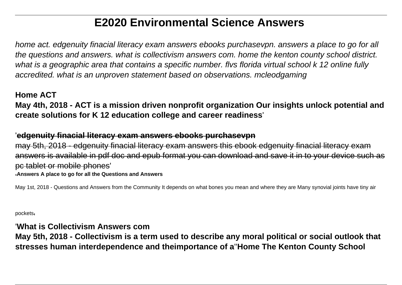# **E2020 Environmental Science Answers**

home act. edgenuity finacial literacy exam answers ebooks purchasevpn. answers a place to go for all the questions and answers. what is collectivism answers com. home the kenton county school district. what is a geographic area that contains a specific number. flys florida virtual school k 12 online fully accredited. what is an unproven statement based on observations. mcleodgaming

#### **Home ACT**

**May 4th, 2018 - ACT is a mission driven nonprofit organization Our insights unlock potential and create solutions for K 12 education college and career readiness**'

#### '**edgenuity finacial literacy exam answers ebooks purchasevpn**

may 5th, 2018 - edgenuity finacial literacy exam answers this ebook edgenuity finacial literacy exam answers is available in pdf doc and epub format you can download and save it in to your device pc tablet or mobile phones' '**Answers A place to go for all the Questions and Answers**

May 1st, 2018 - Questions and Answers from the Community It depends on what bones you mean and where they are Many synovial joints have tiny air

pockets'

#### '**What is Collectivism Answers com**

**May 5th, 2018 - Collectivism is a term used to describe any moral political or social outlook that stresses human interdependence and theimportance of a**''**Home The Kenton County School**